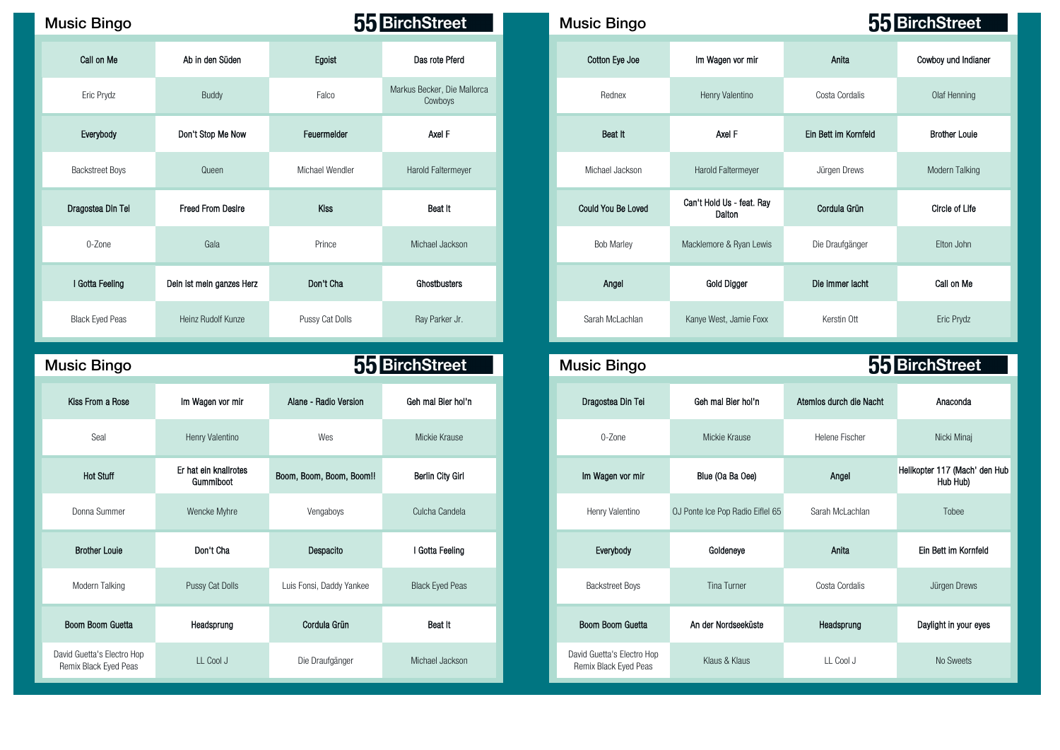## Music Bingo **Music Bingo Music Bingo Music Bingo Music Bingo Music Bingo Music Bingo**

| Call on Me             | Ab in den Süden           | Egoist          | Das rote Pferd                         | Cotton Eye Joe     | Im Wagen vor mir                    | Anita                | Cowboy und Inc     |
|------------------------|---------------------------|-----------------|----------------------------------------|--------------------|-------------------------------------|----------------------|--------------------|
| Eric Prydz             | Buddy                     | Falco           | Markus Becker, Die Mallorca<br>Cowboys | Rednex             | Henry Valentino                     | Costa Cordalis       | Olaf Hennin        |
| Everybody              | Don't Stop Me Now         | Feuermelder     | Axel F                                 | Beat It            | Axel F                              | Ein Bett im Kornfeld | <b>Brother Lou</b> |
| <b>Backstreet Boys</b> | Queen                     | Michael Wendler | Harold Faltermeyer                     | Michael Jackson    | Harold Faltermeyer                  | Jürgen Drews         | Modern Talki       |
| Dragostea Din Tei      | <b>Freed From Desire</b>  | <b>Kiss</b>     | Beat It                                | Could You Be Loved | Can't Hold Us - feat. Ray<br>Dalton | Cordula Grün         | Circle of Lif      |
| 0-Zone                 | Gala                      | Prince          | Michael Jackson                        | <b>Bob Marley</b>  | Macklemore & Ryan Lewis             | Die Draufgänger      | Elton John         |
| I Gotta Feeling        | Dein ist mein ganzes Herz | Don't Cha       | Ghostbusters                           | Angel              | Gold Digger                         | Die immer lacht      | Call on Me         |
| <b>Black Eyed Peas</b> | Heinz Rudolf Kunze        | Pussy Cat Dolls | Ray Parker Jr.                         | Sarah McLachlan    | Kanye West, Jamie Foxx              | Kerstin Ott          | Eric Prydz         |

## Music Bingo **Music Bingo Music Bingo Reserves 55 BirchStreet** 96 89 5 64 46 64 12 8 Kiss From a Rose Im Wagen vor mir Alane - Radio Version Geh mal Bier hol'n Dragostea Din Tei Geh mal Bier hol'n Atemlos durch die Nacht Anaconda Hot Stuff Er hat ein knallrotes Donna Summer Nencke Myhre Vengaboys Culcha Candela Henry Valentino OJ Ponte lce Pop Radio Eiflel 65 Sarah McLachlan Tobee Modern Talking **Pussy Cat Dolls Luis Fonsi, Daddy Yankee** Black Eyed Peas David Guetta's Electro Hop Remix Black Eyed Peas LL Cool J Die Draufgänger Michael Jackson David Guetta's Electro Hop

| sic Bingo              |                           |                 | 55 BirchStreet                         | <b>Music Bingo</b>        |                                     | 55 BirchStreet       |                      |  |
|------------------------|---------------------------|-----------------|----------------------------------------|---------------------------|-------------------------------------|----------------------|----------------------|--|
| Call on Me             | Ab in den Süden           | Egoist          | Das rote Pferd                         | Cotton Eye Joe            | Im Wagen vor mir                    | Anita                | Cowboy und Indianer  |  |
| Eric Prydz             | Buddy                     | Falco           | Markus Becker, Die Mallorca<br>Cowboys | Rednex                    | Henry Valentino                     | Costa Cordalis       | Olaf Henning         |  |
| Everybody              | Don't Stop Me Now         | Feuermelder     | Axel F                                 | Beat It                   | Axel F                              | Ein Bett im Kornfeld | <b>Brother Louie</b> |  |
| <b>Backstreet Boys</b> | Queen                     | Michael Wendler | Harold Faltermeyer                     | Michael Jackson           | Harold Faltermeyer                  | Jürgen Drews         | Modern Talking       |  |
| ragostea Din Tei       | <b>Freed From Desire</b>  | <b>Kiss</b>     | Beat It                                | <b>Could You Be Loved</b> | Can't Hold Us - feat. Ray<br>Dalton | Cordula Grün         | Circle of Life       |  |
| 0-Zone                 | Gala                      | Prince          | Michael Jackson                        | <b>Bob Marley</b>         | Macklemore & Ryan Lewis             | Die Draufgänger      | Elton John           |  |
| I Gotta Feeling        | Dein ist mein ganzes Herz | Don't Cha       | Ghostbusters                           | Angel                     | Gold Digger                         | Die immer lacht      | Call on Me           |  |
| Black Eyed Peas        | Heinz Rudolf Kunze        | Pussy Cat Dolls | Ray Parker Jr.                         | Sarah McLachlan           | Kanye West, Jamie Foxx              | Kerstin Ott          | Eric Prydz           |  |

| sic Bingo                                       |                                    | 55 BirchStreet           |                         | <b>Music Bingo</b>                                  |                                  | 55 BirchStreet          |                                           |  |
|-------------------------------------------------|------------------------------------|--------------------------|-------------------------|-----------------------------------------------------|----------------------------------|-------------------------|-------------------------------------------|--|
| Kiss From a Rose                                | Im Wagen vor mir                   | Alane - Radio Version    | Geh mal Bier hol'n      | Dragostea Din Tei                                   | Geh mal Bier hol'n               | Atemios durch die Nacht | Anaconda                                  |  |
| Seal                                            | Henry Valentino                    | Wes                      | Mickie Krause           | 0-Zone                                              | Mickie Krause                    | Helene Fischer          | Nicki Minaj                               |  |
| <b>Hot Stuff</b>                                | Er hat ein knallrotes<br>Gummiboot | Boom, Boom, Boom, Boom!! | <b>Berlin City Girl</b> | Im Wagen vor mir                                    | Blue (Oa Ba Oee)                 | Angel                   | Helikopter 117 (Mach' den Hub<br>Hub Hub) |  |
| Donna Summer                                    | Wencke Myhre                       | Vengaboys                | Culcha Candela          | Henry Valentino                                     | OJ Ponte Ice Pop Radio Eiflel 65 | Sarah McLachlan         | Tobee                                     |  |
| <b>Brother Louie</b>                            | Don't Cha                          | Despacito                | I Gotta Feeling         | Everybody                                           | Goldeneye                        | Anita                   | Ein Bett im Kornfeld                      |  |
| Modern Talking                                  | Pussy Cat Dolls                    | Luis Fonsi, Daddy Yankee | <b>Black Eyed Peas</b>  | <b>Backstreet Boys</b>                              | Tina Turner                      | Costa Cordalis          | Jürgen Drews                              |  |
| Boom Boom Guetta                                | Headsprung                         | Cordula Grun             | Beat It                 | Boom Boom Guetta                                    | An der Nordseeküste              | Headsprung              | Daylight in your eyes                     |  |
| id Guetta's Electro Hop<br>emix Black Eyed Peas | LL Cool J                          | Die Draufgänger          | Michael Jackson         | David Guetta's Electro Hop<br>Remix Black Eyed Peas | Klaus & Klaus                    | LL Cool J               | No Sweets                                 |  |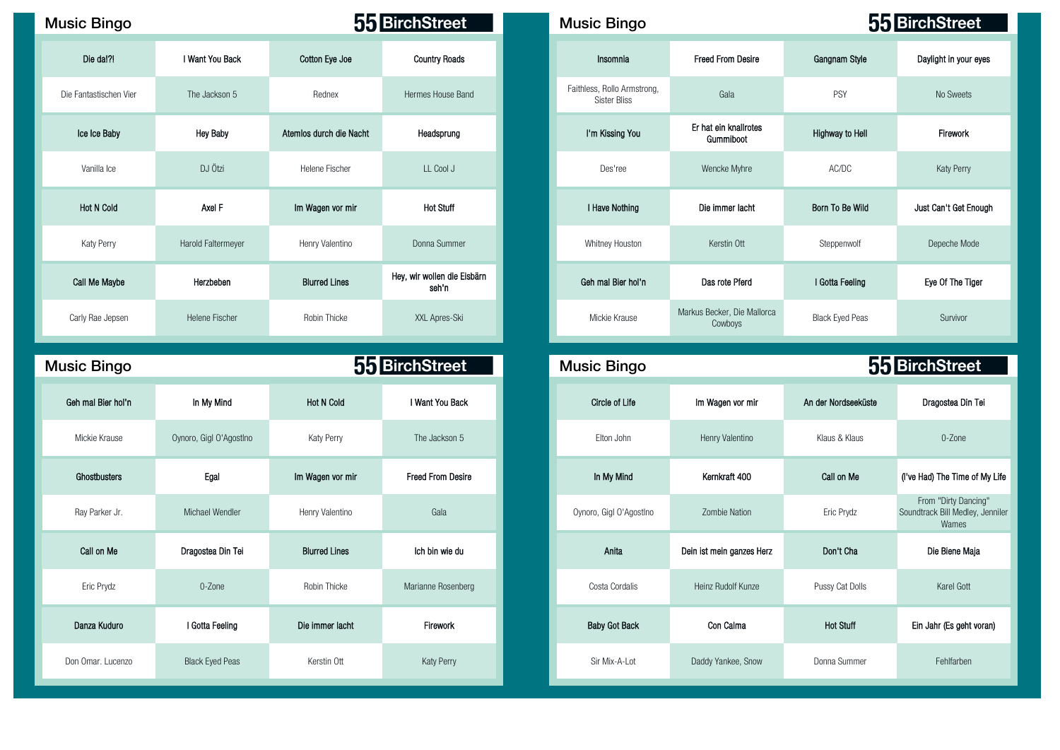## Music Bingo **Music Bingo Music Bingo Music Bingo**

| Die da!?!              | I Want You Back       | Cotton Eye Joe          | <b>Country Roads</b>                 |
|------------------------|-----------------------|-------------------------|--------------------------------------|
| Die Fantastischen Vier | The Jackson 5         | Rednex                  | Hermes House Band                    |
| Ice Ice Baby           | <b>Hey Baby</b>       | Atemios durch die Nacht | Headsprung                           |
| Vanilla Ice            | DJ Ötzi               | Helene Fischer          | LL Cool J                            |
| <b>Hot N Cold</b>      | Axel F                | Im Wagen vor mir        | <b>Hot Stuff</b>                     |
| Katy Perry             | Harold Faltermeyer    | Henry Valentino         | Donna Summer                         |
| Call Me Maybe          | Herzbeben             | <b>Blurred Lines</b>    | Hey, wir wollen die Eisbärn<br>seh'n |
| Carly Rae Jepsen       | <b>Helene Fischer</b> | Robin Thicke            | XXL Apres-Ski                        |

| <b>Music Bingo</b> |                         | 55 BirchStreet       |                          |  | <b>Music Bingo</b>      |                           |                     | 55 BirchStreet                                            |
|--------------------|-------------------------|----------------------|--------------------------|--|-------------------------|---------------------------|---------------------|-----------------------------------------------------------|
| Geh mal Bier hol'n | In My Mind              | <b>Hot N Cold</b>    | I Want You Back          |  | <b>Circle of Life</b>   | Im Wagen vor mir          | An der Nordseeküste | Dragostea Din Tei                                         |
| Mickie Krause      | Oynoro, Gigl O'Agostino | Katy Perry           | The Jackson 5            |  | Elton John              | Henry Valentino           | Klaus & Klaus       | 0-Zone                                                    |
| Ghostbusters       | Egal                    | Im Wagen vor mir     | <b>Freed From Desire</b> |  | In My Mind              | Kernkraft 400             | Call on Me          | (I've Had) The Time of N                                  |
| Ray Parker Jr.     | Michael Wendler         | Henry Valentino      | Gala                     |  | Oynoro, Gigl O'Agostlno | Zombie Nation             | Eric Prydz          | From "Dirty Dancing<br>Soundtrack Bill Medley, J<br>Wames |
| Call on Me         | Dragostea Din Tei       | <b>Blurred Lines</b> | Ich bin wie du           |  | Anita                   | Dein ist mein ganzes Herz | Don't Cha           | Die Biene Maja                                            |
| Eric Prydz         | 0-Zone                  | Robin Thicke         | Marianne Rosenberg       |  | Costa Cordalis          | Heinz Rudolf Kunze        | Pussy Cat Dolls     | Karel Gott                                                |
| Danza Kuduro       | I Gotta Feeling         | Die immer lacht      | Firework                 |  | <b>Baby Got Back</b>    | Con Calma                 | <b>Hot Stuff</b>    | Ein Jahr (Es geht vor                                     |
| Don Omar, Lucenzo  | <b>Black Eyed Peas</b>  | Kerstin Ott          | Katy Perry               |  | Sir Mix-A-Lot           | Daddy Yankee, Snow        | Donna Summer        | Fehlfarben                                                |

| c Bingo           |                    |                         | 55 BirchStreet                       | <b>Music Bingo</b> |                                                    |                                        | 55 BirchStreet         |                       |  |
|-------------------|--------------------|-------------------------|--------------------------------------|--------------------|----------------------------------------------------|----------------------------------------|------------------------|-----------------------|--|
| Die dal?!         | I Want You Back    | Cotton Eye Joe          | <b>Country Roads</b>                 |                    | Insomnia                                           | <b>Freed From Desire</b>               | Gangnam Style          | Daylight in your eyes |  |
| antastischen Vier | The Jackson 5      | Rednex                  | Hermes House Band                    |                    | Faithless, Rollo Armstrong,<br><b>Sister Bliss</b> | Gala                                   | PSY                    | No Sweets             |  |
| ce Ice Baby       | <b>Hey Baby</b>    | Atemios durch die Nacht | Headsprung                           |                    | I'm Kissing You                                    | Er hat ein knallrotes<br>Gummiboot     | Highway to Hell        | Firework              |  |
| Vanilla Ice       | DJ Ötzi            | Helene Fischer          | LL Cool J                            |                    | Des'ree                                            | Wencke Myhre                           | AC/DC                  | Katy Perry            |  |
| Hot N Cold        | Axel F             | Im Wagen vor mir        | <b>Hot Stuff</b>                     |                    | I Have Nothing                                     | Die immer lacht                        | Born To Be Wild        | Just Can't Get Enough |  |
| Katy Perry        | Harold Faltermeyer | Henry Valentino         | Donna Summer                         |                    | Whitney Houston                                    | Kerstin Ott                            | Steppenwolf            | Depeche Mode          |  |
| ull Me Maybe      | Herzbeben          | <b>Blurred Lines</b>    | Hey, wir wollen die Eisbärn<br>seh'n |                    | Geh mal Bier hol'n                                 | Das rote Pferd                         | I Gotta Feeling        | Eye Of The Tiger      |  |
| ly Rae Jepsen     | Helene Fischer     | Robin Thicke            | XXL Apres-Ski                        |                    | Mickie Krause                                      | Markus Becker, Die Mallorca<br>Cowboys | <b>Black Eyed Peas</b> | Survivor              |  |

| ic Bingo         |                         |                      | 55 BirchStreet           | <b>Music Bingo</b>      |                           | 55 BirchStreet      |                                                                   |  |
|------------------|-------------------------|----------------------|--------------------------|-------------------------|---------------------------|---------------------|-------------------------------------------------------------------|--|
| h mal Bier hol'n | In My Mind              | <b>Hot N Cold</b>    | I Want You Back          | <b>Circle of Life</b>   | Im Wagen vor mir          | An der Nordseeküste | Dragostea Din Tei                                                 |  |
| Mickie Krause    | Oynoro, Gigl O'Agostino | Katy Perry           | The Jackson 5            | Elton John              | Henry Valentino           | Klaus & Klaus       | 0-Zone                                                            |  |
| Ghostbusters     | Egal                    | Im Wagen vor mir     | <b>Freed From Desire</b> | In My Mind              | Kernkraft 400             | Call on Me          | (I've Had) The Time of My Life                                    |  |
| Ray Parker Jr.   | Michael Wendler         | Henry Valentino      | Gala                     | Oynoro, Gigl O'Agostlno | <b>Zombie Nation</b>      | Eric Prydz          | From "Dirty Dancing"<br>Soundtrack Bill Medley, Jenniler<br>Wames |  |
| Call on Me       | Dragostea Din Tei       | <b>Blurred Lines</b> | Ich bin wie du           | Anita                   | Dein ist mein ganzes Herz | Don't Cha           | Die Biene Maja                                                    |  |
| Eric Prydz       | 0-Zone                  | Robin Thicke         | Marianne Rosenberg       | Costa Cordalis          | Heinz Rudolf Kunze        | Pussy Cat Dolls     | Karel Gott                                                        |  |
| Danza Kuduro     | I Gotta Feeling         | Die immer lacht      | Firework                 | <b>Baby Got Back</b>    | Con Calma                 | <b>Hot Stuff</b>    | Ein Jahr (Es geht voran)                                          |  |
| n Omar. Lucenzo  | <b>Black Eyed Peas</b>  | Kerstin Ott          | Katy Perry               | Sir Mix-A-Lot           | Daddy Yankee, Snow        | Donna Summer        | Fehlfarben                                                        |  |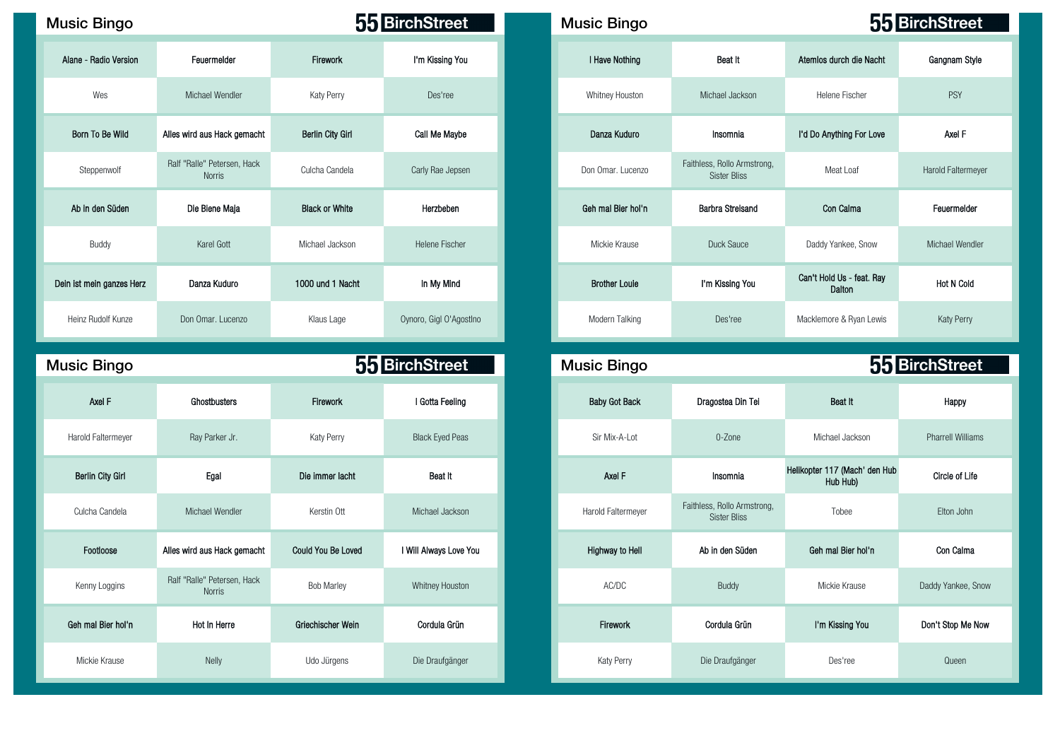| <b>Music Bingo</b>        |                                       |                         | 55 BirchStreet          | <b>Music Bingo</b>   |                                                    |                                     | 55 BirchStreet          |
|---------------------------|---------------------------------------|-------------------------|-------------------------|----------------------|----------------------------------------------------|-------------------------------------|-------------------------|
| Alane - Radio Version     | Feuermelder                           | Firework                | I'm Kissing You         | I Have Nothing       | Beat It                                            | Atemios durch die Nacht             | Gangnam Style           |
| Wes                       | Michael Wendler                       | Katy Perry              | Des'ree                 | Whitney Houston      | Michael Jackson                                    | Helene Fischer                      | <b>PSY</b>              |
| Born To Be Wild           | Alles wird aus Hack gemacht           | <b>Berlin City Girl</b> | Call Me Maybe           | Danza Kuduro         | Insomnia                                           | I'd Do Anything For Love            | Axel F                  |
| Steppenwolf               | Ralf "Ralle" Petersen, Hack<br>Norris | Culcha Candela          | Carly Rae Jepsen        | Don Omar, Lucenzo    | Faithless, Rollo Armstrong,<br><b>Sister Bliss</b> | Meat Loaf                           | <b>Harold Faltermey</b> |
| Ab in den Süden           | Die Biene Maja                        | <b>Black or White</b>   | Herzbeben               | Geh mal Bier hol'n   | <b>Barbra Streisand</b>                            | Con Calma                           | Feuermelder             |
| Buddy                     | Karel Gott                            | Michael Jackson         | <b>Helene Fischer</b>   | Mickie Krause        | Duck Sauce                                         | Daddy Yankee, Snow                  | Michael Wendle          |
| Dein ist mein ganzes Herz | Danza Kuduro                          | 1000 und 1 Nacht        | In My Mind              | <b>Brother Louie</b> | I'm Kissing You                                    | Can't Hold Us - feat. Ray<br>Dalton | <b>Hot N Cold</b>       |
| Heinz Rudolf Kunze        | Don Omar, Lucenzo                     | Klaus Lage              | Oynoro, Gigl O'AgostIno | Modern Talking       | Des'ree                                            | Macklemore & Ryan Lewis             | Katy Perry              |

| <b>Music Bingo</b>      |                                       | 55 BirchStreet            |                        | <b>Music Bingo</b>   |                                                    | <b>55 BirchStreet</b>                     |                          |  |
|-------------------------|---------------------------------------|---------------------------|------------------------|----------------------|----------------------------------------------------|-------------------------------------------|--------------------------|--|
| Axel F                  | Ghostbusters                          | Firework                  | I Gotta Feeling        | <b>Baby Got Back</b> | Dragostea Din Tei                                  | Beat It                                   | Happy                    |  |
| Harold Faltermeyer      | Ray Parker Jr.                        | Katy Perry                | <b>Black Eyed Peas</b> | Sir Mix-A-Lot        | 0-Zone                                             | Michael Jackson                           | <b>Pharrell Williams</b> |  |
| <b>Berlin City Girl</b> | Egal                                  | Die immer lacht           | Beat It                | Axel F               | Insomnia                                           | Helikopter 117 (Mach' den Hub<br>Hub Hub) | <b>Circle of Life</b>    |  |
| Culcha Candela          | Michael Wendler                       | Kerstin Ott               | Michael Jackson        | Harold Faltermeyer   | Faithless, Rollo Armstrong,<br><b>Sister Bliss</b> | Tobee                                     | Elton John               |  |
| Footloose               | Alles wird aus Hack gemacht           | <b>Could You Be Loved</b> | I Will Always Love You | Highway to Hell      | Ab in den Süden                                    | Geh mal Bier hol'n                        | Con Calma                |  |
| Kenny Loggins           | Ralf "Ralle" Petersen, Hack<br>Norris | <b>Bob Marley</b>         | Whitney Houston        | AC/DC                | Buddy                                              | Mickie Krause                             | Daddy Yankee, Snov       |  |
| Geh mal Bier hol'n      | Hot In Herre                          | Griechischer Wein         | Cordula Grün           | Firework             | Cordula Grün                                       | I'm Kissing You                           | Don't Stop Me Now        |  |
| Mickie Krause           | Nelly                                 | Udo Jürgens               | Die Draufgänger        | Katy Perry           | Die Draufgänger                                    | Des'ree                                   | Queen                    |  |

| <b>Bingo</b>    |                                       | 55 BirchStreet        |                         | <b>Music Bingo</b>   |                                                    |                                     | 55 BirchStreet     |
|-----------------|---------------------------------------|-----------------------|-------------------------|----------------------|----------------------------------------------------|-------------------------------------|--------------------|
| Radio Version   | Feuermelder                           | Firework              | I'm Kissing You         | I Have Nothing       | Beat It                                            | Atemios durch die Nacht             | Gangnam Style      |
| Wes             | Michael Wendler                       | Katy Perry            | Des'ree                 | Whitney Houston      | Michael Jackson                                    | <b>Helene Fischer</b>               | PSY                |
| To Be Wild      | Alles wird aus Hack gemacht           | Berlin City Girl      | Call Me Maybe           | Danza Kuduro         | Insomnia                                           | I'd Do Anything For Love            | Axel F             |
| ppenwolf        | Ralf "Ralle" Petersen, Hack<br>Norris | Culcha Candela        | Carly Rae Jepsen        | Don Omar, Lucenzo    | Faithless, Rollo Armstrong,<br><b>Sister Bliss</b> | Meat Loaf                           | Harold Faltermeyer |
| den Süden       | Die Biene Maja                        | <b>Black or White</b> | Herzbeben               | Geh mal Bier hol'n   | <b>Barbra Streisand</b>                            | Con Calma                           | Feuermelder        |
| Buddy           | Karel Gott                            | Michael Jackson       | <b>Helene Fischer</b>   | Mickie Krause        | Duck Sauce                                         | Daddy Yankee, Snow                  | Michael Wendler    |
| ein ganzes Herz | Danza Kuduro                          | 1000 und 1 Nacht      | In My Mind              | <b>Brother Louie</b> | I'm Kissing You                                    | Can't Hold Us - feat. Ray<br>Dalton | <b>Hot N Cold</b>  |
| Rudolf Kunze    | Don Omar, Lucenzo                     | Klaus Lage            | Oynoro, Gigl O'AgostIno | Modern Talking       | Des'ree                                            | Macklemore & Ryan Lewis             | Katy Perry         |

|                            |                    | <b>55 BirchStreet</b>  | <b>Music Bingo</b>     |                                                    |                                           | <b>55 BirchStreet</b>    |
|----------------------------|--------------------|------------------------|------------------------|----------------------------------------------------|-------------------------------------------|--------------------------|
| stbusters                  | Firework           | I Gotta Feeling        | <b>Baby Got Back</b>   | Dragostea Din Tei                                  | Beat It                                   | Happy                    |
| Parker Jr.                 | Katy Perry         | <b>Black Eyed Peas</b> | Sir Mix-A-Lot          | 0-Zone                                             | Michael Jackson                           | <b>Pharrell Williams</b> |
| Egal                       | Die immer lacht    | Beat It                | Axel F                 | Insomnia                                           | Helikopter 117 (Mach' den Hub<br>Hub Hub) | Circle of Life           |
| ael Wendler                | Kerstin Ott        | Michael Jackson        | Harold Faltermeyer     | Faithless, Rollo Armstrong,<br><b>Sister Bliss</b> | Tobee                                     | Elton John               |
| us Hack gemacht            | Could You Be Loved | I Will Always Love You | <b>Highway to Hell</b> | Ab in den Süden                                    | Geh mal Bier hol'n                        | Con Calma                |
| " Petersen, Hack<br>Norris | <b>Bob Marley</b>  | Whitney Houston        | AC/DC                  | <b>Buddy</b>                                       | Mickie Krause                             | Daddy Yankee, Snow       |
| : In Herre                 | Griechischer Wein  | Cordula Grün           | Firework               | Cordula Grün                                       | I'm Kissing You                           | Don't Stop Me Now        |
| <b>Nelly</b>               | Udo Jürgens        | Die Draufgänger        | Katy Perry             | Die Draufgänger                                    | Des'ree                                   | Queen                    |

———